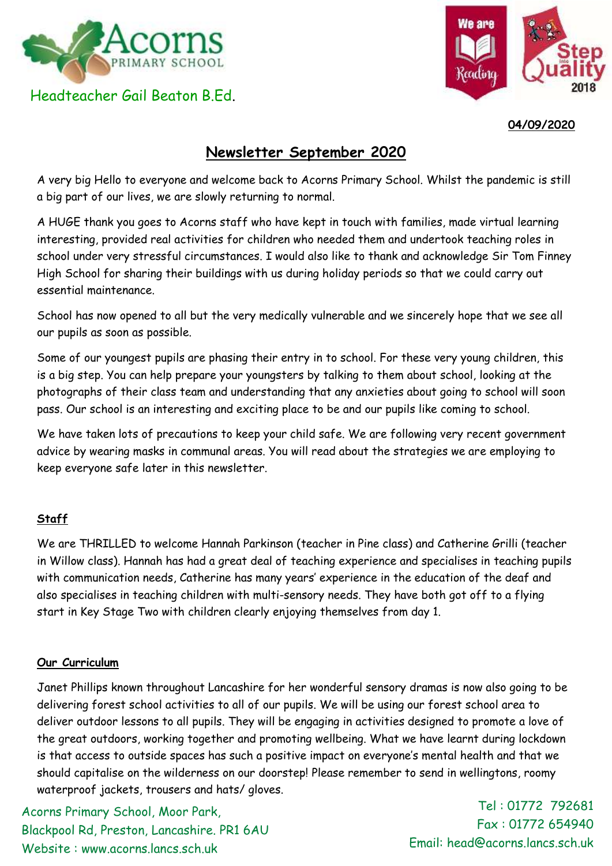

Headteacher Gail Beaton B.Ed.



**04/09/2020**

## **Newsletter September 2020**

A very big Hello to everyone and welcome back to Acorns Primary School. Whilst the pandemic is still a big part of our lives, we are slowly returning to normal.

A HUGE thank you goes to Acorns staff who have kept in touch with families, made virtual learning interesting, provided real activities for children who needed them and undertook teaching roles in school under very stressful circumstances. I would also like to thank and acknowledge Sir Tom Finney High School for sharing their buildings with us during holiday periods so that we could carry out essential maintenance.

School has now opened to all but the very medically vulnerable and we sincerely hope that we see all our pupils as soon as possible.

Some of our youngest pupils are phasing their entry in to school. For these very young children, this is a big step. You can help prepare your youngsters by talking to them about school, looking at the photographs of their class team and understanding that any anxieties about going to school will soon pass. Our school is an interesting and exciting place to be and our pupils like coming to school.

We have taken lots of precautions to keep your child safe. We are following very recent government advice by wearing masks in communal areas. You will read about the strategies we are employing to keep everyone safe later in this newsletter.

## **Staff**

We are THRILLED to welcome Hannah Parkinson (teacher in Pine class) and Catherine Grilli (teacher in Willow class). Hannah has had a great deal of teaching experience and specialises in teaching pupils with communication needs, Catherine has many years' experience in the education of the deaf and also specialises in teaching children with multi-sensory needs. They have both got off to a flying start in Key Stage Two with children clearly enjoying themselves from day 1.

## **Our Curriculum**

Janet Phillips known throughout Lancashire for her wonderful sensory dramas is now also going to be delivering forest school activities to all of our pupils. We will be using our forest school area to deliver outdoor lessons to all pupils. They will be engaging in activities designed to promote a love of the great outdoors, working together and promoting wellbeing. What we have learnt during lockdown is that access to outside spaces has such a positive impact on everyone's mental health and that we should capitalise on the wilderness on our doorstep! Please remember to send in wellingtons, roomy waterproof jackets, trousers and hats/ gloves.

Acorns Primary School, Moor Park, Blackpool Rd, Preston, Lancashire. PR1 6AU Website : www.acorns.lancs.sch.uk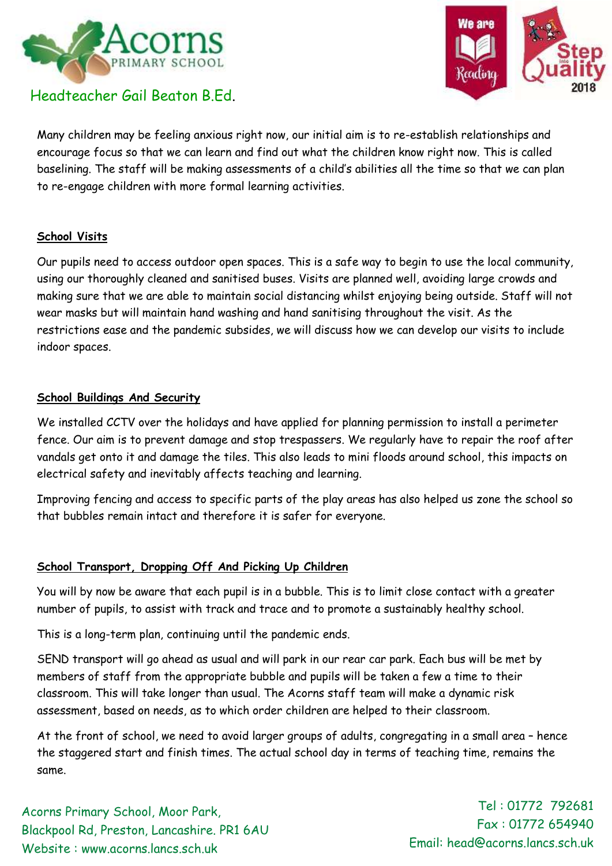

# Headteacher Gail Beaton B.Ed.



Many children may be feeling anxious right now, our initial aim is to re-establish relationships and encourage focus so that we can learn and find out what the children know right now. This is called baselining. The staff will be making assessments of a child's abilities all the time so that we can plan to re-engage children with more formal learning activities.

## **School Visits**

Our pupils need to access outdoor open spaces. This is a safe way to begin to use the local community, using our thoroughly cleaned and sanitised buses. Visits are planned well, avoiding large crowds and making sure that we are able to maintain social distancing whilst enjoying being outside. Staff will not wear masks but will maintain hand washing and hand sanitising throughout the visit. As the restrictions ease and the pandemic subsides, we will discuss how we can develop our visits to include indoor spaces.

#### **School Buildings And Security**

We installed CCTV over the holidays and have applied for planning permission to install a perimeter fence. Our aim is to prevent damage and stop trespassers. We regularly have to repair the roof after vandals get onto it and damage the tiles. This also leads to mini floods around school, this impacts on electrical safety and inevitably affects teaching and learning.

Improving fencing and access to specific parts of the play areas has also helped us zone the school so that bubbles remain intact and therefore it is safer for everyone.

## **School Transport, Dropping Off And Picking Up Children**

You will by now be aware that each pupil is in a bubble. This is to limit close contact with a greater number of pupils, to assist with track and trace and to promote a sustainably healthy school.

This is a long-term plan, continuing until the pandemic ends.

SEND transport will go ahead as usual and will park in our rear car park. Each bus will be met by members of staff from the appropriate bubble and pupils will be taken a few a time to their classroom. This will take longer than usual. The Acorns staff team will make a dynamic risk assessment, based on needs, as to which order children are helped to their classroom.

At the front of school, we need to avoid larger groups of adults, congregating in a small area – hence the staggered start and finish times. The actual school day in terms of teaching time, remains the same.

Acorns Primary School, Moor Park, Blackpool Rd, Preston, Lancashire. PR1 6AU Website : www.acorns.lancs.sch.uk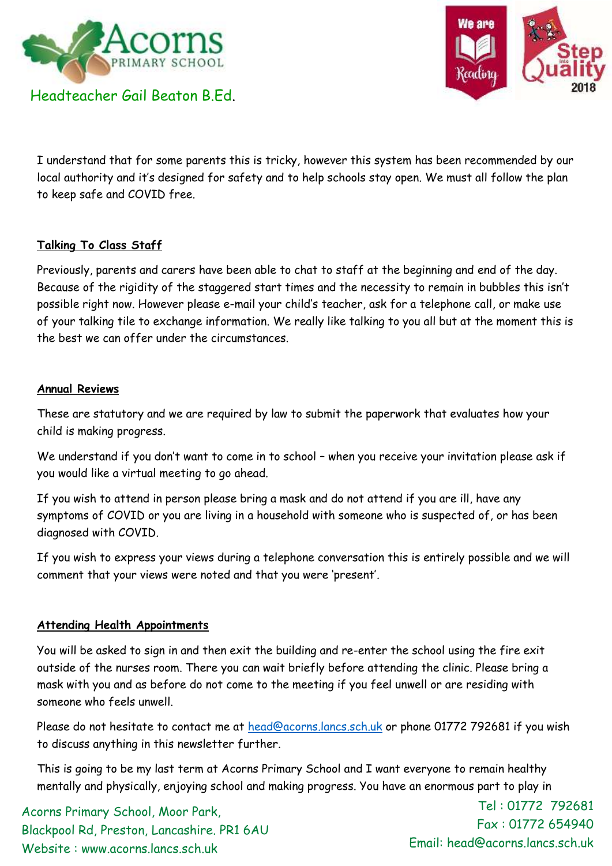



I understand that for some parents this is tricky, however this system has been recommended by our local authority and it's designed for safety and to help schools stay open. We must all follow the plan to keep safe and COVID free.

## **Talking To Class Staff**

Previously, parents and carers have been able to chat to staff at the beginning and end of the day. Because of the rigidity of the staggered start times and the necessity to remain in bubbles this isn't possible right now. However please e-mail your child's teacher, ask for a telephone call, or make use of your talking tile to exchange information. We really like talking to you all but at the moment this is the best we can offer under the circumstances.

#### **Annual Reviews**

These are statutory and we are required by law to submit the paperwork that evaluates how your child is making progress.

We understand if you don't want to come in to school – when you receive your invitation please ask if you would like a virtual meeting to go ahead.

If you wish to attend in person please bring a mask and do not attend if you are ill, have any symptoms of COVID or you are living in a household with someone who is suspected of, or has been diagnosed with COVID.

If you wish to express your views during a telephone conversation this is entirely possible and we will comment that your views were noted and that you were 'present'.

## **Attending Health Appointments**

You will be asked to sign in and then exit the building and re-enter the school using the fire exit outside of the nurses room. There you can wait briefly before attending the clinic. Please bring a mask with you and as before do not come to the meeting if you feel unwell or are residing with someone who feels unwell.

Please do not hesitate to contact me at [head@acorns.lancs.sch.uk](mailto:head@acorns.lancs.sch.uk) or phone 01772 792681 if you wish to discuss anything in this newsletter further.

This is going to be my last term at Acorns Primary School and I want everyone to remain healthy mentally and physically, enjoying school and making progress. You have an enormous part to play in

Acorns Primary School, Moor Park, Blackpool Rd, Preston, Lancashire. PR1 6AU Website : www.acorns.lancs.sch.uk